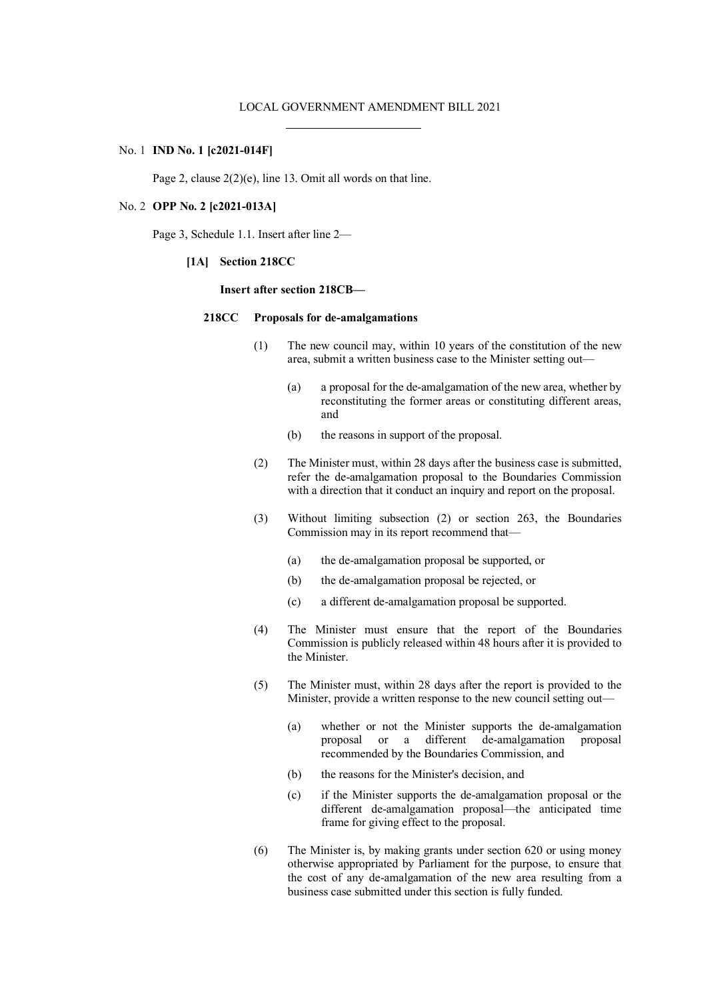### No. 1 **IND No. 1 [c2021-014F]**

Page 2, clause 2(2)(e), line 13. Omit all words on that line.

#### No. 2 **OPP No. 2 [c2021-013A]**

Page 3, Schedule 1.1. Insert after line 2—

**[1A] Section 218CC**

#### **Insert after section 218CB—**

## **218CC Proposals for de-amalgamations**

- (1) The new council may, within 10 years of the constitution of the new area, submit a written business case to the Minister setting out—
	- (a) a proposal for the de-amalgamation of the new area, whether by reconstituting the former areas or constituting different areas, and
	- (b) the reasons in support of the proposal.
- (2) The Minister must, within 28 days after the business case is submitted, refer the de-amalgamation proposal to the Boundaries Commission with a direction that it conduct an inquiry and report on the proposal.
- (3) Without limiting subsection (2) or section 263, the Boundaries Commission may in its report recommend that—
	- (a) the de-amalgamation proposal be supported, or
	- (b) the de-amalgamation proposal be rejected, or
	- (c) a different de-amalgamation proposal be supported.
- (4) The Minister must ensure that the report of the Boundaries Commission is publicly released within 48 hours after it is provided to the Minister.
- (5) The Minister must, within 28 days after the report is provided to the Minister, provide a written response to the new council setting out—
	- (a) whether or not the Minister supports the de-amalgamation proposal or a different de-amalgamation proposal recommended by the Boundaries Commission, and
	- (b) the reasons for the Minister's decision, and
	- (c) if the Minister supports the de-amalgamation proposal or the different de-amalgamation proposal—the anticipated time frame for giving effect to the proposal.
- (6) The Minister is, by making grants under section 620 or using money otherwise appropriated by Parliament for the purpose, to ensure that the cost of any de-amalgamation of the new area resulting from a business case submitted under this section is fully funded.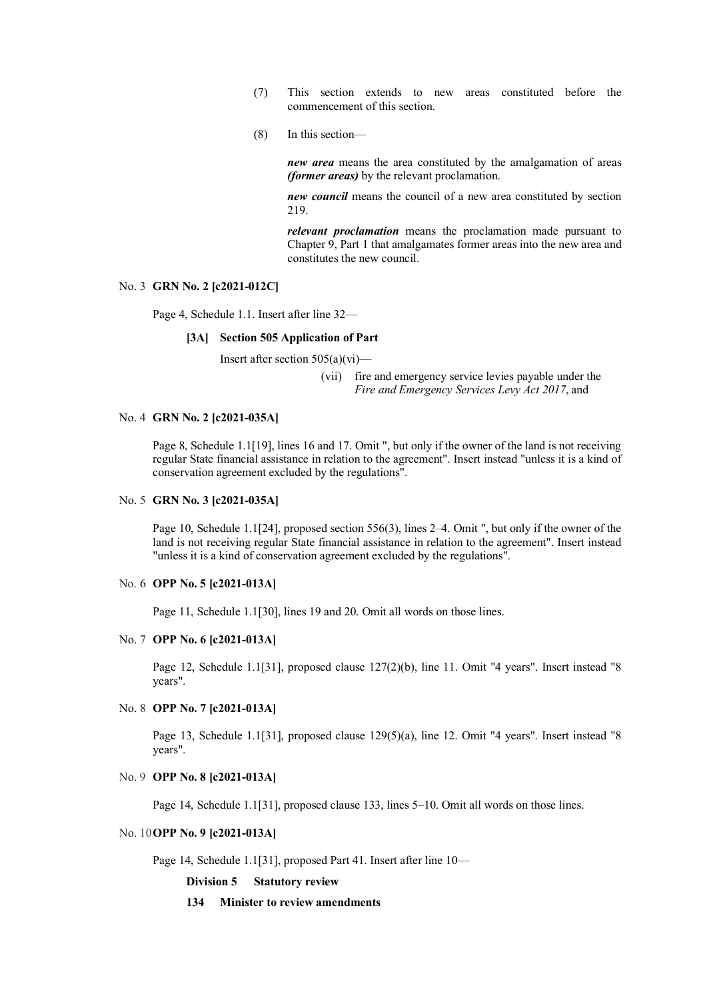- (7) This section extends to new areas constituted before the commencement of this section.
- (8) In this section—

*new area* means the area constituted by the amalgamation of areas *(former areas)* by the relevant proclamation.

*new council* means the council of a new area constituted by section 219.

*relevant proclamation* means the proclamation made pursuant to Chapter 9, Part 1 that amalgamates former areas into the new area and constitutes the new council.

#### No. 3 **GRN No. 2 [c2021-012C]**

Page 4, Schedule 1.1. Insert after line 32—

# **[3A] Section 505 Application of Part**

Insert after section  $505(a)(vi)$ —

(vii) fire and emergency service levies payable under the *Fire and Emergency Services Levy Act 2017*, and

# No. 4 **GRN No. 2 [c2021-035A]**

Page 8, Schedule 1.1[19], lines 16 and 17. Omit ", but only if the owner of the land is not receiving regular State financial assistance in relation to the agreement". Insert instead "unless it is a kind of conservation agreement excluded by the regulations".

# No. 5 **GRN No. 3 [c2021-035A]**

Page 10, Schedule 1.1[24], proposed section 556(3), lines 2–4. Omit ", but only if the owner of the land is not receiving regular State financial assistance in relation to the agreement". Insert instead "unless it is a kind of conservation agreement excluded by the regulations".

# No. 6 **OPP No. 5 [c2021-013A]**

Page 11, Schedule 1.1[30], lines 19 and 20. Omit all words on those lines.

#### No. 7 **OPP No. 6 [c2021-013A]**

Page 12, Schedule 1.1[31], proposed clause 127(2)(b), line 11. Omit "4 years". Insert instead "8 years".

### No. 8 **OPP No. 7 [c2021-013A]**

Page 13, Schedule 1.1[31], proposed clause 129(5)(a), line 12. Omit "4 years". Insert instead "8 years".

# No. 9 **OPP No. 8 [c2021-013A]**

Page 14, Schedule 1.1[31], proposed clause 133, lines 5–10. Omit all words on those lines.

#### No. 10**OPP No. 9 [c2021-013A]**

Page 14, Schedule 1.1[31], proposed Part 41. Insert after line 10—

**Division 5 Statutory review**

#### **134 Minister to review amendments**